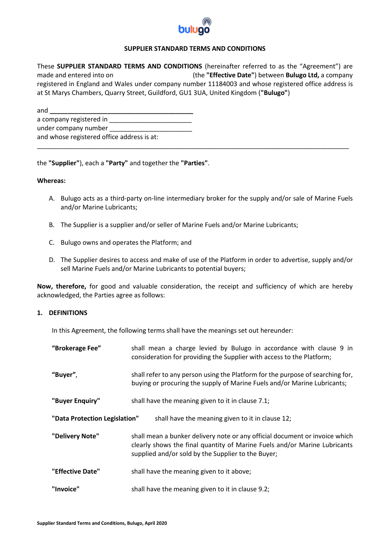

# **SUPPLIER STANDARD TERMS AND CONDITIONS**

These **SUPPLIER STANDARD TERMS AND CONDITIONS** (hereinafter referred to as the "Agreement") are made and entered into on (the **"Effective Date"**) between **Bulugo Ltd,** a company registered in England and Wales under company number 11184003 and whose registered office address is at St Marys Chambers, Quarry Street, Guildford, GU1 3UA, United Kingdom (**"Bulugo"**)

\_\_\_\_\_\_\_\_\_\_\_\_\_\_\_\_\_\_\_\_\_\_\_\_\_\_\_\_\_\_\_\_\_\_\_\_\_\_\_\_\_\_\_\_\_\_\_\_\_\_\_\_\_\_\_\_\_\_\_\_\_\_\_\_\_\_\_\_\_\_\_\_\_\_\_\_\_\_\_\_\_\_\_\_\_\_\_

| and                                        |  |  |  |
|--------------------------------------------|--|--|--|
| a company registered in                    |  |  |  |
| under company number                       |  |  |  |
| and whose registered office address is at: |  |  |  |

the **"Supplier"**), each a **"Party"** and together the **"Parties"**.

#### **Whereas:**

- A. Bulugo acts as a third-party on-line intermediary broker for the supply and/or sale of Marine Fuels and/or Marine Lubricants;
- B. The Supplier is a supplier and/or seller of Marine Fuels and/or Marine Lubricants;
- C. Bulugo owns and operates the Platform; and
- D. The Supplier desires to access and make of use of the Platform in order to advertise, supply and/or sell Marine Fuels and/or Marine Lubricants to potential buyers;

**Now, therefore,** for good and valuable consideration, the receipt and sufficiency of which are hereby acknowledged, the Parties agree as follows:

# **1. DEFINITIONS**

In this Agreement, the following terms shall have the meanings set out hereunder:

| "Brokerage Fee"                                                                   | shall mean a charge levied by Bulugo in accordance with clause 9 in<br>consideration for providing the Supplier with access to the Platform;                                                                   |  |  |  |  |  |
|-----------------------------------------------------------------------------------|----------------------------------------------------------------------------------------------------------------------------------------------------------------------------------------------------------------|--|--|--|--|--|
| "Buyer",                                                                          | shall refer to any person using the Platform for the purpose of searching for,<br>buying or procuring the supply of Marine Fuels and/or Marine Lubricants;                                                     |  |  |  |  |  |
| "Buyer Enquiry"                                                                   | shall have the meaning given to it in clause 7.1;                                                                                                                                                              |  |  |  |  |  |
| "Data Protection Legislation"<br>shall have the meaning given to it in clause 12; |                                                                                                                                                                                                                |  |  |  |  |  |
| "Delivery Note"                                                                   | shall mean a bunker delivery note or any official document or invoice which<br>clearly shows the final quantity of Marine Fuels and/or Marine Lubricants<br>supplied and/or sold by the Supplier to the Buyer; |  |  |  |  |  |
| "Effective Date"                                                                  | shall have the meaning given to it above;                                                                                                                                                                      |  |  |  |  |  |
| "Invoice"                                                                         | shall have the meaning given to it in clause 9.2;                                                                                                                                                              |  |  |  |  |  |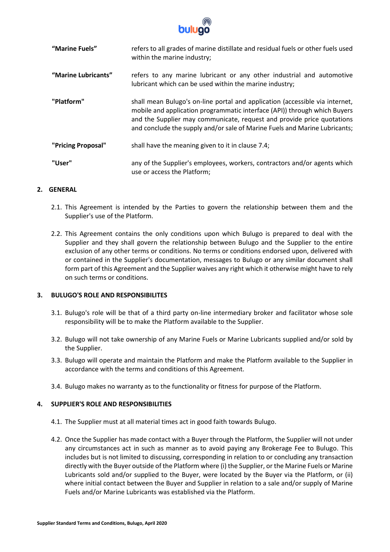

| "Marine Fuels"      | refers to all grades of marine distillate and residual fuels or other fuels used<br>within the marine industry;                                                                                                                                                                                                   |  |  |  |  |  |
|---------------------|-------------------------------------------------------------------------------------------------------------------------------------------------------------------------------------------------------------------------------------------------------------------------------------------------------------------|--|--|--|--|--|
| "Marine Lubricants" | refers to any marine lubricant or any other industrial and automotive<br>lubricant which can be used within the marine industry;                                                                                                                                                                                  |  |  |  |  |  |
| "Platform"          | shall mean Bulugo's on-line portal and application (accessible via internet,<br>mobile and application programmatic interface (API)) through which Buyers<br>and the Supplier may communicate, request and provide price quotations<br>and conclude the supply and/or sale of Marine Fuels and Marine Lubricants; |  |  |  |  |  |
| "Pricing Proposal"  | shall have the meaning given to it in clause 7.4;                                                                                                                                                                                                                                                                 |  |  |  |  |  |
| "User"              | any of the Supplier's employees, workers, contractors and/or agents which<br>use or access the Platform;                                                                                                                                                                                                          |  |  |  |  |  |

# **2. GENERAL**

- 2.1. This Agreement is intended by the Parties to govern the relationship between them and the Supplier's use of the Platform.
- 2.2. This Agreement contains the only conditions upon which Bulugo is prepared to deal with the Supplier and they shall govern the relationship between Bulugo and the Supplier to the entire exclusion of any other terms or conditions. No terms or conditions endorsed upon, delivered with or contained in the Supplier's documentation, messages to Bulugo or any similar document shall form part of this Agreement and the Supplier waives any right which it otherwise might have to rely on such terms or conditions.

# **3. BULUGO'S ROLE AND RESPONSIBILITES**

- 3.1. Bulugo's role will be that of a third party on-line intermediary broker and facilitator whose sole responsibility will be to make the Platform available to the Supplier.
- 3.2. Bulugo will not take ownership of any Marine Fuels or Marine Lubricants supplied and/or sold by the Supplier.
- 3.3. Bulugo will operate and maintain the Platform and make the Platform available to the Supplier in accordance with the terms and conditions of this Agreement.
- 3.4. Bulugo makes no warranty as to the functionality or fitness for purpose of the Platform.

# **4. SUPPLIER'S ROLE AND RESPONSIBILITIES**

- 4.1. The Supplier must at all material times act in good faith towards Bulugo.
- 4.2. Once the Supplier has made contact with a Buyer through the Platform, the Supplier will not under any circumstances act in such as manner as to avoid paying any Brokerage Fee to Bulugo. This includes but is not limited to discussing, corresponding in relation to or concluding any transaction directly with the Buyer outside of the Platform where (i) the Supplier, or the Marine Fuels or Marine Lubricants sold and/or supplied to the Buyer, were located by the Buyer via the Platform, or (ii) where initial contact between the Buyer and Supplier in relation to a sale and/or supply of Marine Fuels and/or Marine Lubricants was established via the Platform.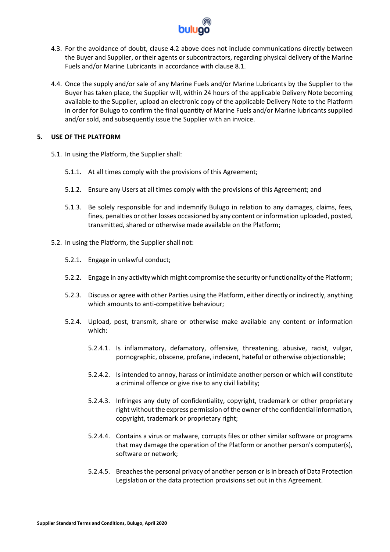

- 4.3. For the avoidance of doubt, clause 4.2 above does not include communications directly between the Buyer and Supplier, or their agents or subcontractors, regarding physical delivery of the Marine Fuels and/or Marine Lubricants in accordance with clause 8.1.
- 4.4. Once the supply and/or sale of any Marine Fuels and/or Marine Lubricants by the Supplier to the Buyer has taken place, the Supplier will, within 24 hours of the applicable Delivery Note becoming available to the Supplier, upload an electronic copy of the applicable Delivery Note to the Platform in order for Bulugo to confirm the final quantity of Marine Fuels and/or Marine lubricants supplied and/or sold, and subsequently issue the Supplier with an invoice.

## **5. USE OF THE PLATFORM**

- 5.1. In using the Platform, the Supplier shall:
	- 5.1.1. At all times comply with the provisions of this Agreement;
	- 5.1.2. Ensure any Users at all times comply with the provisions of this Agreement; and
	- 5.1.3. Be solely responsible for and indemnify Bulugo in relation to any damages, claims, fees, fines, penalties or other losses occasioned by any content or information uploaded, posted, transmitted, shared or otherwise made available on the Platform;
- 5.2. In using the Platform, the Supplier shall not:
	- 5.2.1. Engage in unlawful conduct;
	- 5.2.2. Engage in any activity which might compromise the security or functionality of the Platform;
	- 5.2.3. Discuss or agree with other Parties using the Platform, either directly or indirectly, anything which amounts to anti-competitive behaviour;
	- 5.2.4. Upload, post, transmit, share or otherwise make available any content or information which:
		- 5.2.4.1. Is inflammatory, defamatory, offensive, threatening, abusive, racist, vulgar, pornographic, obscene, profane, indecent, hateful or otherwise objectionable;
		- 5.2.4.2. Is intended to annoy, harass or intimidate another person or which will constitute a criminal offence or give rise to any civil liability;
		- 5.2.4.3. Infringes any duty of confidentiality, copyright, trademark or other proprietary right without the express permission of the owner of the confidential information, copyright, trademark or proprietary right;
		- 5.2.4.4. Contains a virus or malware, corrupts files or other similar software or programs that may damage the operation of the Platform or another person's computer(s), software or network;
		- 5.2.4.5. Breachesthe personal privacy of another person or is in breach of Data Protection Legislation or the data protection provisions set out in this Agreement.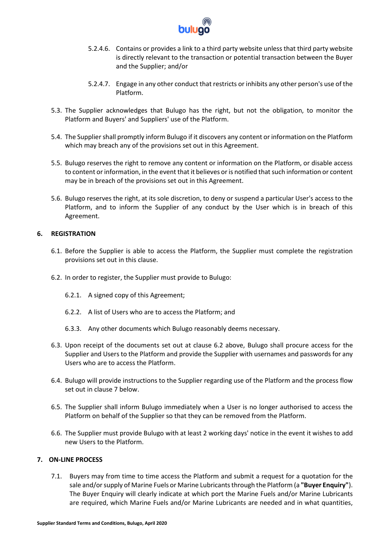

- 5.2.4.6. Contains or provides a link to a third party website unless that third party website is directly relevant to the transaction or potential transaction between the Buyer and the Supplier; and/or
- 5.2.4.7. Engage in any other conduct that restricts or inhibits any other person's use of the Platform.
- 5.3. The Supplier acknowledges that Bulugo has the right, but not the obligation, to monitor the Platform and Buyers' and Suppliers' use of the Platform.
- 5.4. The Supplier shall promptly inform Bulugo if it discovers any content or information on the Platform which may breach any of the provisions set out in this Agreement.
- 5.5. Bulugo reserves the right to remove any content or information on the Platform, or disable access to content or information, in the event that it believes or is notified that such information or content may be in breach of the provisions set out in this Agreement.
- 5.6. Bulugo reserves the right, at its sole discretion, to deny or suspend a particular User's access to the Platform, and to inform the Supplier of any conduct by the User which is in breach of this Agreement.

# **6. REGISTRATION**

- 6.1. Before the Supplier is able to access the Platform, the Supplier must complete the registration provisions set out in this clause.
- 6.2. In order to register, the Supplier must provide to Bulugo:
	- 6.2.1. A signed copy of this Agreement;
	- 6.2.2. A list of Users who are to access the Platform; and
	- 6.3.3. Any other documents which Bulugo reasonably deems necessary.
- 6.3. Upon receipt of the documents set out at clause 6.2 above, Bulugo shall procure access for the Supplier and Users to the Platform and provide the Supplier with usernames and passwords for any Users who are to access the Platform.
- 6.4. Bulugo will provide instructions to the Supplier regarding use of the Platform and the process flow set out in clause 7 below.
- 6.5. The Supplier shall inform Bulugo immediately when a User is no longer authorised to access the Platform on behalf of the Supplier so that they can be removed from the Platform.
- 6.6. The Supplier must provide Bulugo with at least 2 working days' notice in the event it wishes to add new Users to the Platform.

# **7. ON-LINE PROCESS**

7.1. Buyers may from time to time access the Platform and submit a request for a quotation for the sale and/or supply of Marine Fuels or Marine Lubricants through the Platform (a **"Buyer Enquiry"**). The Buyer Enquiry will clearly indicate at which port the Marine Fuels and/or Marine Lubricants are required, which Marine Fuels and/or Marine Lubricants are needed and in what quantities,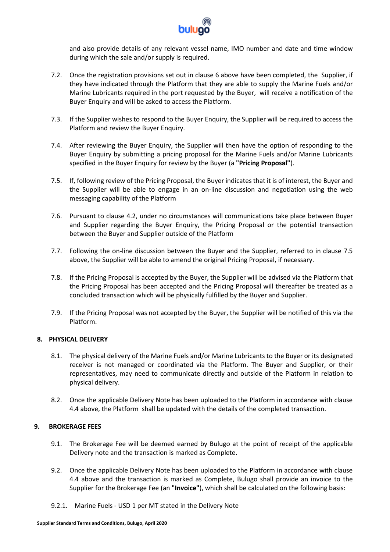

and also provide details of any relevant vessel name, IMO number and date and time window during which the sale and/or supply is required.

- 7.2. Once the registration provisions set out in clause 6 above have been completed, the Supplier, if they have indicated through the Platform that they are able to supply the Marine Fuels and/or Marine Lubricants required in the port requested by the Buyer, will receive a notification of the Buyer Enquiry and will be asked to access the Platform.
- 7.3. If the Supplier wishes to respond to the Buyer Enquiry, the Supplier will be required to access the Platform and review the Buyer Enquiry.
- 7.4. After reviewing the Buyer Enquiry, the Supplier will then have the option of responding to the Buyer Enquiry by submitting a pricing proposal for the Marine Fuels and/or Marine Lubricants specified in the Buyer Enquiry for review by the Buyer (a **"Pricing Proposal"**).
- 7.5. If, following review of the Pricing Proposal, the Buyer indicates that it is of interest, the Buyer and the Supplier will be able to engage in an on-line discussion and negotiation using the web messaging capability of the Platform
- 7.6. Pursuant to clause 4.2, under no circumstances will communications take place between Buyer and Supplier regarding the Buyer Enquiry, the Pricing Proposal or the potential transaction between the Buyer and Supplier outside of the Platform
- 7.7. Following the on-line discussion between the Buyer and the Supplier, referred to in clause 7.5 above, the Supplier will be able to amend the original Pricing Proposal, if necessary.
- 7.8. If the Pricing Proposal is accepted by the Buyer, the Supplier will be advised via the Platform that the Pricing Proposal has been accepted and the Pricing Proposal will thereafter be treated as a concluded transaction which will be physically fulfilled by the Buyer and Supplier.
- 7.9. If the Pricing Proposal was not accepted by the Buyer, the Supplier will be notified of this via the Platform.

# **8. PHYSICAL DELIVERY**

- 8.1. The physical delivery of the Marine Fuels and/or Marine Lubricants to the Buyer or its designated receiver is not managed or coordinated via the Platform. The Buyer and Supplier, or their representatives, may need to communicate directly and outside of the Platform in relation to physical delivery.
- 8.2. Once the applicable Delivery Note has been uploaded to the Platform in accordance with clause 4.4 above, the Platform shall be updated with the details of the completed transaction.

# **9. BROKERAGE FEES**

- 9.1. The Brokerage Fee will be deemed earned by Bulugo at the point of receipt of the applicable Delivery note and the transaction is marked as Complete.
- 9.2. Once the applicable Delivery Note has been uploaded to the Platform in accordance with clause 4.4 above and the transaction is marked as Complete, Bulugo shall provide an invoice to the Supplier for the Brokerage Fee (an **"Invoice"**), which shall be calculated on the following basis:
- 9.2.1. Marine Fuels USD 1 per MT stated in the Delivery Note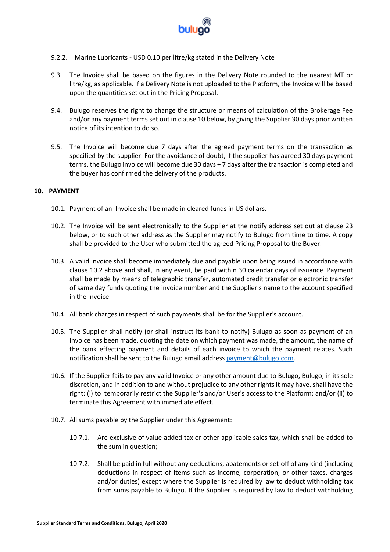

- 9.2.2. Marine Lubricants USD 0.10 per litre/kg stated in the Delivery Note
- 9.3. The Invoice shall be based on the figures in the Delivery Note rounded to the nearest MT or litre/kg, as applicable. If a Delivery Note is not uploaded to the Platform, the Invoice will be based upon the quantities set out in the Pricing Proposal.
- 9.4. Bulugo reserves the right to change the structure or means of calculation of the Brokerage Fee and/or any payment terms set out in clause 10 below, by giving the Supplier 30 days prior written notice of its intention to do so.
- 9.5. The Invoice will become due 7 days after the agreed payment terms on the transaction as specified by the supplier. For the avoidance of doubt, if the supplier has agreed 30 days payment terms, the Bulugo invoice will become due 30 days + 7 days after the transaction is completed and the buyer has confirmed the delivery of the products.

## **10. PAYMENT**

- 10.1. Payment of an Invoice shall be made in cleared funds in US dollars.
- 10.2. The Invoice will be sent electronically to the Supplier at the notify address set out at clause 23 below, or to such other address as the Supplier may notify to Bulugo from time to time. A copy shall be provided to the User who submitted the agreed Pricing Proposal to the Buyer.
- 10.3. A valid Invoice shall become immediately due and payable upon being issued in accordance with clause 10.2 above and shall, in any event, be paid within 30 calendar days of issuance. Payment shall be made by means of telegraphic transfer, automated credit transfer or electronic transfer of same day funds quoting the invoice number and the Supplier's name to the account specified in the Invoice.
- 10.4. All bank charges in respect of such payments shall be for the Supplier's account.
- 10.5. The Supplier shall notify (or shall instruct its bank to notify) Bulugo as soon as payment of an Invoice has been made, quoting the date on which payment was made, the amount, the name of the bank effecting payment and details of each invoice to which the payment relates. Such notification shall be sent to the Bulugo email addres[s payment@bulugo.com.](mailto:payment@bulugo.com)
- 10.6. If the Supplier fails to pay any valid Invoice or any other amount due to Bulugo**,** Bulugo, in its sole discretion, and in addition to and without prejudice to any other rights it may have, shall have the right: (i) to temporarily restrict the Supplier's and/or User's access to the Platform; and/or (ii) to terminate this Agreement with immediate effect.
- 10.7. All sums payable by the Supplier under this Agreement:
	- 10.7.1. Are exclusive of value added tax or other applicable sales tax, which shall be added to the sum in question;
	- 10.7.2. Shall be paid in full without any deductions, abatements or set-off of any kind (including deductions in respect of items such as income, corporation, or other taxes, charges and/or duties) except where the Supplier is required by law to deduct withholding tax from sums payable to Bulugo. If the Supplier is required by law to deduct withholding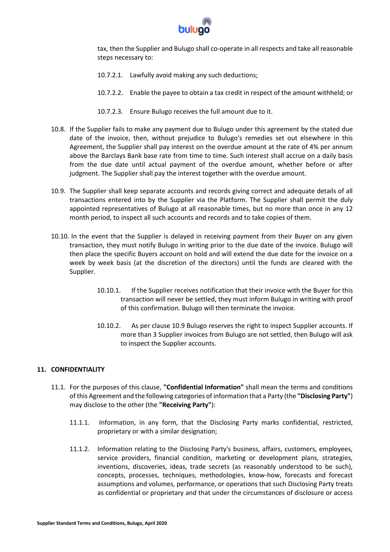

tax, then the Supplier and Bulugo shall co-operate in all respects and take all reasonable steps necessary to:

- 10.7.2.1. Lawfully avoid making any such deductions;
- 10.7.2.2. Enable the payee to obtain a tax credit in respect of the amount withheld; or
- 10.7.2.3. Ensure Bulugo receives the full amount due to it.
- 10.8. If the Supplier fails to make any payment due to Bulugo under this agreement by the stated due date of the invoice, then, without prejudice to Bulugo's remedies set out elsewhere in this Agreement, the Supplier shall pay interest on the overdue amount at the rate of 4% per annum above the Barclays Bank base rate from time to time. Such interest shall accrue on a daily basis from the due date until actual payment of the overdue amount, whether before or after judgment. The Supplier shall pay the interest together with the overdue amount.
- 10.9. The Supplier shall keep separate accounts and records giving correct and adequate details of all transactions entered into by the Supplier via the Platform. The Supplier shall permit the duly appointed representatives of Bulugo at all reasonable times, but no more than once in any 12 month period, to inspect all such accounts and records and to take copies of them.
- 10.10. In the event that the Supplier is delayed in receiving payment from their Buyer on any given transaction, they must notify Bulugo in writing prior to the due date of the invoice. Bulugo will then place the specific Buyers account on hold and will extend the due date for the invoice on a week by week basis (at the discretion of the directors) until the funds are cleared with the Supplier.
	- 10.10.1. If the Supplier receives notification that their invoice with the Buyer for this transaction will never be settled, they must inform Bulugo in writing with proof of this confirmation. Bulugo will then terminate the invoice.
	- 10.10.2. As per clause 10.9 Bulugo reserves the right to inspect Supplier accounts. If more than 3 Supplier invoices from Bulugo are not settled, then Bulugo will ask to inspect the Supplier accounts.

# **11. CONFIDENTIALITY**

- 11.1. For the purposes of this clause, **"Confidential Information"** shall mean the terms and conditions of this Agreement and the following categories of information that a Party (the **"Disclosing Party"**) may disclose to the other (the **"Receiving Party"**):
	- 11.1.1. Information, in any form, that the Disclosing Party marks confidential, restricted, proprietary or with a similar designation;
	- 11.1.2. Information relating to the Disclosing Party's business, affairs, customers, employees, service providers, financial condition, marketing or development plans, strategies, inventions, discoveries, ideas, trade secrets (as reasonably understood to be such), concepts, processes, techniques, methodologies, know-how, forecasts and forecast assumptions and volumes, performance, or operations that such Disclosing Party treats as confidential or proprietary and that under the circumstances of disclosure or access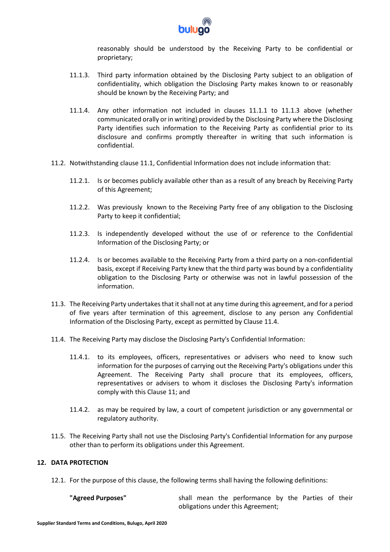

reasonably should be understood by the Receiving Party to be confidential or proprietary;

- 11.1.3. Third party information obtained by the Disclosing Party subject to an obligation of confidentiality, which obligation the Disclosing Party makes known to or reasonably should be known by the Receiving Party; and
- 11.1.4. Any other information not included in clauses 11.1.1 to 11.1.3 above (whether communicated orally or in writing) provided by the Disclosing Party where the Disclosing Party identifies such information to the Receiving Party as confidential prior to its disclosure and confirms promptly thereafter in writing that such information is confidential.
- 11.2. Notwithstanding clause 11.1, Confidential Information does not include information that:
	- 11.2.1. Is or becomes publicly available other than as a result of any breach by Receiving Party of this Agreement;
	- 11.2.2. Was previously known to the Receiving Party free of any obligation to the Disclosing Party to keep it confidential;
	- 11.2.3. Is independently developed without the use of or reference to the Confidential Information of the Disclosing Party; or
	- 11.2.4. Is or becomes available to the Receiving Party from a third party on a non-confidential basis, except if Receiving Party knew that the third party was bound by a confidentiality obligation to the Disclosing Party or otherwise was not in lawful possession of the information.
- 11.3. The Receiving Party undertakes that it shall not at any time during this agreement, and for a period of five years after termination of this agreement, disclose to any person any Confidential Information of the Disclosing Party, except as permitted by Clause 11.4.
- 11.4. The Receiving Party may disclose the Disclosing Party's Confidential Information:
	- 11.4.1. to its employees, officers, representatives or advisers who need to know such information for the purposes of carrying out the Receiving Party's obligations under this Agreement. The Receiving Party shall procure that its employees, officers, representatives or advisers to whom it discloses the Disclosing Party's information comply with this Clause 11; and
	- 11.4.2. as may be required by law, a court of competent jurisdiction or any governmental or regulatory authority.
- 11.5. The Receiving Party shall not use the Disclosing Party's Confidential Information for any purpose other than to perform its obligations under this Agreement.

# **12. DATA PROTECTION**

12.1. For the purpose of this clause, the following terms shall having the following definitions:

| "Agreed Purposes" |                                   |  |  | shall mean the performance by the Parties of their |  |  |  |  |  |
|-------------------|-----------------------------------|--|--|----------------------------------------------------|--|--|--|--|--|
|                   | obligations under this Agreement; |  |  |                                                    |  |  |  |  |  |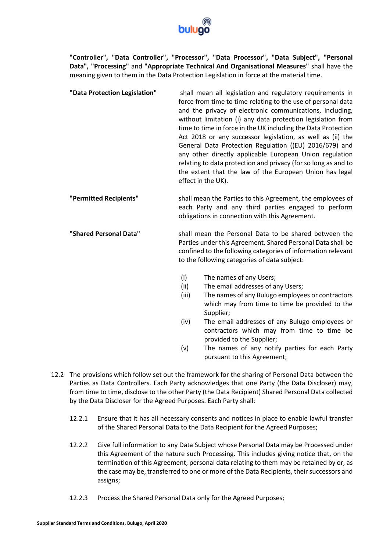

**"Controller", "Data Controller", "Processor", "Data Processor", "Data Subject", "Personal Data", "Processing"** and **"Appropriate Technical And Organisational Measures"** shall have the meaning given to them in the Data Protection Legislation in force at the material time.

- **"Data Protection Legislation"** shall mean all legislation and regulatory requirements in force from time to time relating to the use of personal data and the privacy of electronic communications, including, without limitation (i) any data protection legislation from time to time in force in the UK including the Data Protection Act 2018 or any successor legislation, as well as (ii) the General Data Protection Regulation ((EU) 2016/679) and any other directly applicable European Union regulation relating to data protection and privacy (for so long as and to the extent that the law of the European Union has legal effect in the UK).
- **"Permitted Recipients"** shall mean the Parties to this Agreement, the employees of each Party and any third parties engaged to perform obligations in connection with this Agreement.
- **"Shared Personal Data"** shall mean the Personal Data to be shared between the Parties under this Agreement. Shared Personal Data shall be confined to the following categories of information relevant to the following categories of data subject:
	- (i) The names of any Users;
	- (ii) The email addresses of any Users;
	- (iii) The names of any Bulugo employees or contractors which may from time to time be provided to the Supplier;
	- (iv) The email addresses of any Bulugo employees or contractors which may from time to time be provided to the Supplier;
	- (v) The names of any notify parties for each Party pursuant to this Agreement;
- 12.2 The provisions which follow set out the framework for the sharing of Personal Data between the Parties as Data Controllers. Each Party acknowledges that one Party (the Data Discloser) may, from time to time, disclose to the other Party (the Data Recipient) Shared Personal Data collected by the Data Discloser for the Agreed Purposes. Each Party shall:
	- 12.2.1 Ensure that it has all necessary consents and notices in place to enable lawful transfer of the Shared Personal Data to the Data Recipient for the Agreed Purposes;
	- 12.2.2 Give full information to any Data Subject whose Personal Data may be Processed under this Agreement of the nature such Processing. This includes giving notice that, on the termination of this Agreement, personal data relating to them may be retained by or, as the case may be, transferred to one or more of the Data Recipients, their successors and assigns;
	- 12.2.3 Process the Shared Personal Data only for the Agreed Purposes;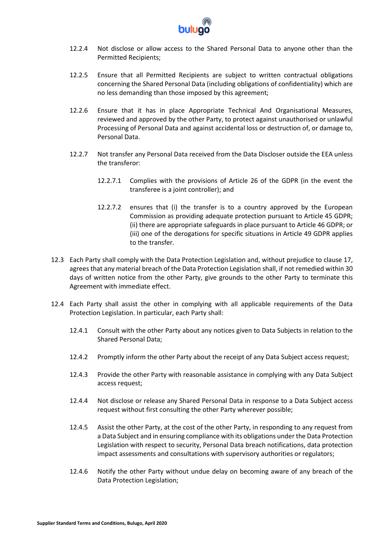

- 12.2.4 Not disclose or allow access to the Shared Personal Data to anyone other than the Permitted Recipients;
- 12.2.5 Ensure that all Permitted Recipients are subject to written contractual obligations concerning the Shared Personal Data (including obligations of confidentiality) which are no less demanding than those imposed by this agreement;
- 12.2.6 Ensure that it has in place Appropriate Technical And Organisational Measures, reviewed and approved by the other Party, to protect against unauthorised or unlawful Processing of Personal Data and against accidental loss or destruction of, or damage to, Personal Data.
- 12.2.7 Not transfer any Personal Data received from the Data Discloser outside the EEA unless the transferor:
	- 12.2.7.1 Complies with the provisions of Article 26 of the GDPR (in the event the transferee is a joint controller); and
	- 12.2.7.2 ensures that (i) the transfer is to a country approved by the European Commission as providing adequate protection pursuant to Article 45 GDPR; (ii) there are appropriate safeguards in place pursuant to Article 46 GDPR; or (iii) one of the derogations for specific situations in Article 49 GDPR applies to the transfer.
- 12.3 Each Party shall comply with the Data Protection Legislation and, without prejudice to clause 17, agrees that any material breach of the Data Protection Legislation shall, if not remedied within 30 days of written notice from the other Party, give grounds to the other Party to terminate this Agreement with immediate effect.
- 12.4 Each Party shall assist the other in complying with all applicable requirements of the Data Protection Legislation. In particular, each Party shall:
	- 12.4.1 Consult with the other Party about any notices given to Data Subjects in relation to the Shared Personal Data;
	- 12.4.2 Promptly inform the other Party about the receipt of any Data Subject access request;
	- 12.4.3 Provide the other Party with reasonable assistance in complying with any Data Subject access request;
	- 12.4.4 Not disclose or release any Shared Personal Data in response to a Data Subject access request without first consulting the other Party wherever possible;
	- 12.4.5 Assist the other Party, at the cost of the other Party, in responding to any request from a Data Subject and in ensuring compliance with its obligations under the Data Protection Legislation with respect to security, Personal Data breach notifications, data protection impact assessments and consultations with supervisory authorities or regulators;
	- 12.4.6 Notify the other Party without undue delay on becoming aware of any breach of the Data Protection Legislation;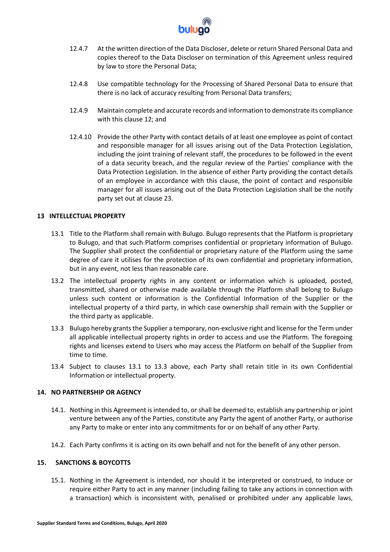

- 12.4.7 At the written direction of the Data Discloser, delete or return Shared Personal Data and copies thereof to the Data Discloser on termination of this Agreement unless required by law to store the Personal Data;
- 12.4.8 Use compatible technology for the Processing of Shared Personal Data to ensure that there is no lack of accuracy resulting from Personal Data transfers;
- 12.4.9 Maintain complete and accurate records and information to demonstrate its compliance with this clause 12; and
- 12.4.10 Provide the other Party with contact details of at least one employee as point of contact and responsible manager for all issues arising out of the Data Protection Legislation, including the joint training of relevant staff, the procedures to be followed in the event of a data security breach, and the regular review of the Parties' compliance with the Data Protection Legislation. In the absence of either Party providing the contact details of an employee in accordance with this clause, the point of contact and responsible manager for all issues arising out of the Data Protection Legislation shall be the notify party set out at clause 23.

# **13 INTELLECTUAL PROPERTY**

- 13.1 Title to the Platform shall remain with Bulugo. Bulugo represents that the Platform is proprietary to Bulugo, and that such Platform comprises confidential or proprietary information of Bulugo. The Supplier shall protect the confidential or proprietary nature of the Platform using the same degree of care it utilises for the protection of its own confidential and proprietary information, but in any event, not less than reasonable care.
- 13.2 The intellectual property rights in any content or information which is uploaded, posted, transmitted, shared or otherwise made available through the Platform shall belong to Bulugo unless such content or information is the Confidential Information of the Supplier or the intellectual property of a third party, in which case ownership shall remain with the Supplier or the third party as applicable.
- 13.3 Bulugo hereby grants the Supplier a temporary, non-exclusive right and license for the Term under all applicable intellectual property rights in order to access and use the Platform. The foregoing rights and licenses extend to Users who may access the Platform on behalf of the Supplier from time to time.
- 13.4 Subject to clauses 13.1 to 13.3 above, each Party shall retain title in its own Confidential Information or intellectual property.

## **14. NO PARTNERSHIP OR AGENCY**

- 14.1. Nothing in this Agreement is intended to, or shall be deemed to, establish any partnership or joint venture between any of the Parties, constitute any Party the agent of another Party, or authorise any Party to make or enter into any commitments for or on behalf of any other Party.
- 14.2. Each Party confirms it is acting on its own behalf and not for the benefit of any other person.

# **15. SANCTIONS & BOYCOTTS**

15.1. Nothing in the Agreement is intended, nor should it be interpreted or construed, to induce or require either Party to act in any manner (including failing to take any actions in connection with a transaction) which is inconsistent with, penalised or prohibited under any applicable laws,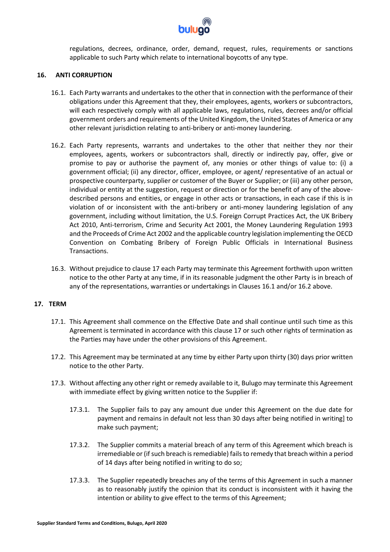

regulations, decrees, ordinance, order, demand, request, rules, requirements or sanctions applicable to such Party which relate to international boycotts of any type.

### **16. ANTI CORRUPTION**

- 16.1. Each Party warrants and undertakes to the other that in connection with the performance of their obligations under this Agreement that they, their employees, agents, workers or subcontractors, will each respectively comply with all applicable laws, regulations, rules, decrees and/or official government orders and requirements of the United Kingdom, the United States of America or any other relevant jurisdiction relating to anti-bribery or anti-money laundering.
- 16.2. Each Party represents, warrants and undertakes to the other that neither they nor their employees, agents, workers or subcontractors shall, directly or indirectly pay, offer, give or promise to pay or authorise the payment of, any monies or other things of value to: (i) a government official; (ii) any director, officer, employee, or agent/ representative of an actual or prospective counterparty, supplier or customer of the Buyer or Supplier; or (iii) any other person, individual or entity at the suggestion, request or direction or for the benefit of any of the abovedescribed persons and entities, or engage in other acts or transactions, in each case if this is in violation of or inconsistent with the anti-bribery or anti-money laundering legislation of any government, including without limitation, the U.S. Foreign Corrupt Practices Act, the UK Bribery Act 2010, Anti-terrorism, Crime and Security Act 2001, the Money Laundering Regulation 1993 and the Proceeds of Crime Act 2002 and the applicable country legislation implementing the OECD Convention on Combating Bribery of Foreign Public Officials in International Business Transactions.
- 16.3. Without prejudice to clause 17 each Party may terminate this Agreement forthwith upon written notice to the other Party at any time, if in its reasonable judgment the other Party is in breach of any of the representations, warranties or undertakings in Clauses 16.1 and/or 16.2 above.

#### **17. TERM**

- 17.1. This Agreement shall commence on the Effective Date and shall continue until such time as this Agreement is terminated in accordance with this clause 17 or such other rights of termination as the Parties may have under the other provisions of this Agreement.
- 17.2. This Agreement may be terminated at any time by either Party upon thirty (30) days prior written notice to the other Party.
- 17.3. Without affecting any other right or remedy available to it, Bulugo may terminate this Agreement with immediate effect by giving written notice to the Supplier if:
	- 17.3.1. The Supplier fails to pay any amount due under this Agreement on the due date for payment and remains in default not less than 30 days after being notified in writing] to make such payment;
	- 17.3.2. The Supplier commits a material breach of any term of this Agreement which breach is irremediable or (if such breach is remediable) fails to remedy that breach within a period of 14 days after being notified in writing to do so;
	- 17.3.3. The Supplier repeatedly breaches any of the terms of this Agreement in such a manner as to reasonably justify the opinion that its conduct is inconsistent with it having the intention or ability to give effect to the terms of this Agreement;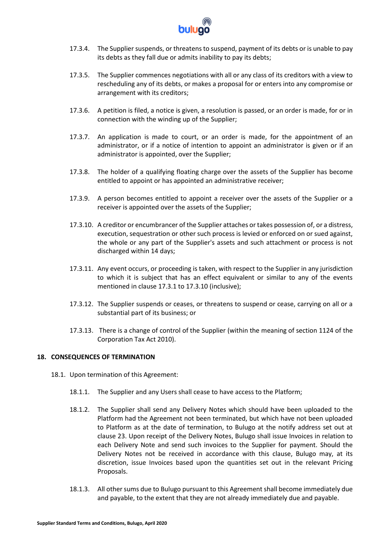

- 17.3.4. The Supplier suspends, or threatens to suspend, payment of its debts or is unable to pay its debts as they fall due or admits inability to pay its debts;
- 17.3.5. The Supplier commences negotiations with all or any class of its creditors with a view to rescheduling any of its debts, or makes a proposal for or enters into any compromise or arrangement with its creditors;
- 17.3.6. A petition is filed, a notice is given, a resolution is passed, or an order is made, for or in connection with the winding up of the Supplier;
- 17.3.7. An application is made to court, or an order is made, for the appointment of an administrator, or if a notice of intention to appoint an administrator is given or if an administrator is appointed, over the Supplier;
- 17.3.8. The holder of a qualifying floating charge over the assets of the Supplier has become entitled to appoint or has appointed an administrative receiver;
- 17.3.9. A person becomes entitled to appoint a receiver over the assets of the Supplier or a receiver is appointed over the assets of the Supplier;
- 17.3.10. A creditor or encumbrancer of the Supplier attaches or takes possession of, or a distress, execution, sequestration or other such process is levied or enforced on or sued against, the whole or any part of the Supplier's assets and such attachment or process is not discharged within 14 days;
- 17.3.11. Any event occurs, or proceeding is taken, with respect to the Supplier in any jurisdiction to which it is subject that has an effect equivalent or similar to any of the events mentioned in clause 17.3.1 to 17.3.10 (inclusive);
- 17.3.12. The Supplier suspends or ceases, or threatens to suspend or cease, carrying on all or a substantial part of its business; or
- 17.3.13. There is a change of control of the Supplier (within the meaning of section 1124 of the Corporation Tax Act 2010).

# **18. CONSEQUENCES OF TERMINATION**

- 18.1. Upon termination of this Agreement:
	- 18.1.1. The Supplier and any Users shall cease to have access to the Platform;
	- 18.1.2. The Supplier shall send any Delivery Notes which should have been uploaded to the Platform had the Agreement not been terminated, but which have not been uploaded to Platform as at the date of termination, to Bulugo at the notify address set out at clause 23. Upon receipt of the Delivery Notes, Bulugo shall issue Invoices in relation to each Delivery Note and send such invoices to the Supplier for payment. Should the Delivery Notes not be received in accordance with this clause, Bulugo may, at its discretion, issue Invoices based upon the quantities set out in the relevant Pricing Proposals.
	- 18.1.3. All other sums due to Bulugo pursuant to this Agreement shall become immediately due and payable, to the extent that they are not already immediately due and payable.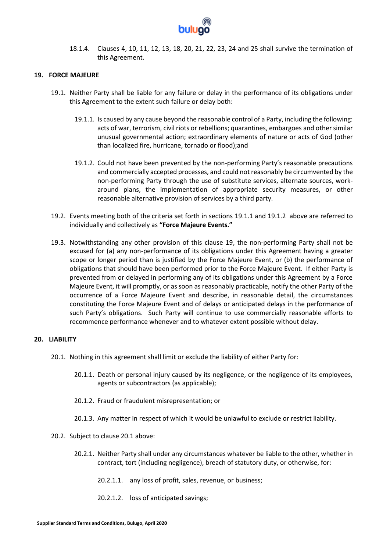

18.1.4. Clauses 4, 10, 11, 12, 13, 18, 20, 21, 22, 23, 24 and 25 shall survive the termination of this Agreement.

### **19. FORCE MAJEURE**

- 19.1. Neither Party shall be liable for any failure or delay in the performance of its obligations under this Agreement to the extent such failure or delay both:
	- 19.1.1. Is caused by any cause beyond the reasonable control of a Party, including the following: acts of war, terrorism, civil riots or rebellions; quarantines, embargoes and other similar unusual governmental action; extraordinary elements of nature or acts of God (other than localized fire, hurricane, tornado or flood);and
	- 19.1.2. Could not have been prevented by the non-performing Party's reasonable precautions and commercially accepted processes, and could not reasonably be circumvented by the non-performing Party through the use of substitute services, alternate sources, workaround plans, the implementation of appropriate security measures, or other reasonable alternative provision of services by a third party.
- 19.2. Events meeting both of the criteria set forth in sections 19.1.1 and 19.1.2 above are referred to individually and collectively as **"Force Majeure Events."**
- 19.3. Notwithstanding any other provision of this clause 19, the non-performing Party shall not be excused for (a) any non-performance of its obligations under this Agreement having a greater scope or longer period than is justified by the Force Majeure Event, or (b) the performance of obligations that should have been performed prior to the Force Majeure Event. If either Party is prevented from or delayed in performing any of its obligations under this Agreement by a Force Majeure Event, it will promptly, or as soon as reasonably practicable, notify the other Party of the occurrence of a Force Majeure Event and describe, in reasonable detail, the circumstances constituting the Force Majeure Event and of delays or anticipated delays in the performance of such Party's obligations. Such Party will continue to use commercially reasonable efforts to recommence performance whenever and to whatever extent possible without delay.

#### **20. LIABILITY**

- 20.1. Nothing in this agreement shall limit or exclude the liability of either Party for:
	- 20.1.1. Death or personal injury caused by its negligence, or the negligence of its employees, agents or subcontractors (as applicable);
	- 20.1.2. Fraud or fraudulent misrepresentation; or
	- 20.1.3. Any matter in respect of which it would be unlawful to exclude or restrict liability.
- 20.2. Subject to clause 20.1 above:
	- 20.2.1. Neither Party shall under any circumstances whatever be liable to the other, whether in contract, tort (including negligence), breach of statutory duty, or otherwise, for:
		- 20.2.1.1. any loss of profit, sales, revenue, or business;
		- 20.2.1.2. loss of anticipated savings;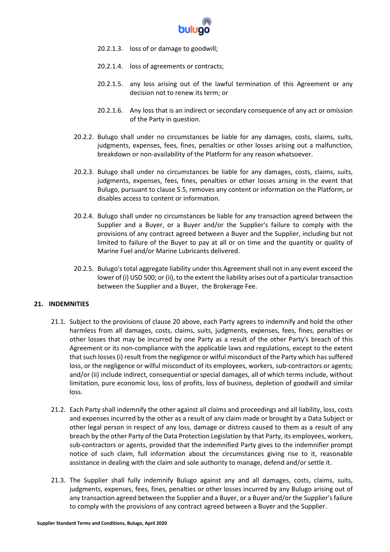

- 20.2.1.3. loss of or damage to goodwill;
- 20.2.1.4. loss of agreements or contracts;
- 20.2.1.5. any loss arising out of the lawful termination of this Agreement or any decision not to renew its term; or
- 20.2.1.6. Any loss that is an indirect or secondary consequence of any act or omission of the Party in question.
- 20.2.2. Bulugo shall under no circumstances be liable for any damages, costs, claims, suits, judgments, expenses, fees, fines, penalties or other losses arising out a malfunction, breakdown or non-availability of the Platform for any reason whatsoever.
- 20.2.3. Bulugo shall under no circumstances be liable for any damages, costs, claims, suits, judgments, expenses, fees, fines, penalties or other losses arising in the event that Bulugo, pursuant to clause 5.5, removes any content or information on the Platform, or disables access to content or information.
- 20.2.4. Bulugo shall under no circumstances be liable for any transaction agreed between the Supplier and a Buyer, or a Buyer and/or the Supplier's failure to comply with the provisions of any contract agreed between a Buyer and the Supplier, including but not limited to failure of the Buyer to pay at all or on time and the quantity or quality of Marine Fuel and/or Marine Lubricants delivered.
- 20.2.5. Bulugo's total aggregate liability under this Agreement shall not in any event exceed the lower of (i) USD 500; or (ii), to the extent the liability arises out of a particular transaction between the Supplier and a Buyer, the Brokerage Fee.

# **21. INDEMNITIES**

- 21.1. Subject to the provisions of clause 20 above, each Party agrees to indemnify and hold the other harmless from all damages, costs, claims, suits, judgments, expenses, fees, fines, penalties or other losses that may be incurred by one Party as a result of the other Party's breach of this Agreement or its non-compliance with the applicable laws and regulations, except to the extent that such losses (i) result from the negligence or wilful misconduct of the Party which has suffered loss, or the negligence or wilful misconduct of its employees, workers, sub-contractors or agents; and/or (ii) include indirect, consequential or special damages, all of which terms include, without limitation, pure economic loss, loss of profits, loss of business, depletion of goodwill and similar loss.
- 21.2. Each Party shall indemnify the other against all claims and proceedings and all liability, loss, costs and expenses incurred by the other as a result of any claim made or brought by a Data Subject or other legal person in respect of any loss, damage or distress caused to them as a result of any breach by the other Party of the Data Protection Legislation by that Party, its employees, workers, sub-contractors or agents, provided that the indemnified Party gives to the indemnifier prompt notice of such claim, full information about the circumstances giving rise to it, reasonable assistance in dealing with the claim and sole authority to manage, defend and/or settle it.
- 21.3. The Supplier shall fully indemnify Bulugo against any and all damages, costs, claims, suits, judgments, expenses, fees, fines, penalties or other losses incurred by any Bulugo arising out of any transaction agreed between the Supplier and a Buyer, or a Buyer and/or the Supplier's failure to comply with the provisions of any contract agreed between a Buyer and the Supplier.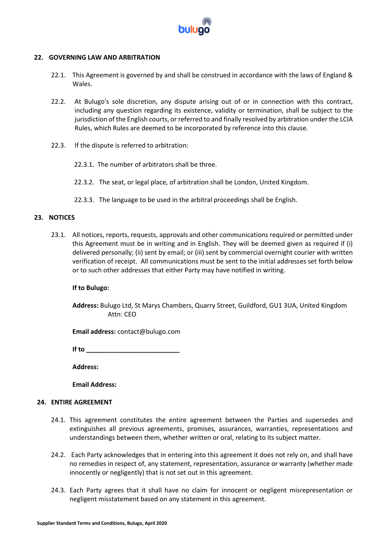

## **22. GOVERNING LAW AND ARBITRATION**

- 22.1. This Agreement is governed by and shall be construed in accordance with the laws of England & Wales.
- 22.2. At Bulugo's sole discretion, any dispute arising out of or in connection with this contract, including any question regarding its existence, validity or termination, shall be subject to the jurisdiction of the English courts, or referred to and finally resolved by arbitration under the LCIA Rules, which Rules are deemed to be incorporated by reference into this clause.
- 22.3. If the dispute is referred to arbitration:
	- 22.3.1. The number of arbitrators shall be three.
	- 22.3.2. The seat, or legal place, of arbitration shall be London, United Kingdom.
	- 22.3.3. The language to be used in the arbitral proceedings shall be English.

#### **23. NOTICES**

23.1. All notices, reports, requests, approvals and other communications required or permitted under this Agreement must be in writing and in English. They will be deemed given as required if (i) delivered personally; (ii) sent by email; or (iii) sent by commercial overnight courier with written verification of receipt. All communications must be sent to the initial addresses set forth below or to such other addresses that either Party may have notified in writing.

#### **If to Bulugo:**

**Address:** Bulugo Ltd, St Marys Chambers, Quarry Street, Guildford, GU1 3UA, United Kingdom Attn: CEO

**Email address:** contact@bulugo.com

**If to \_\_\_\_\_\_\_\_\_\_\_\_\_\_\_\_\_\_\_\_\_\_\_\_\_\_**

**Address:** 

**Email Address:** 

## **24. ENTIRE AGREEMENT**

- 24.1. This agreement constitutes the entire agreement between the Parties and supersedes and extinguishes all previous agreements, promises, assurances, warranties, representations and understandings between them, whether written or oral, relating to its subject matter.
- 24.2. Each Party acknowledges that in entering into this agreement it does not rely on, and shall have no remedies in respect of, any statement, representation, assurance or warranty (whether made innocently or negligently) that is not set out in this agreement.
- 24.3. Each Party agrees that it shall have no claim for innocent or negligent misrepresentation or negligent misstatement based on any statement in this agreement.